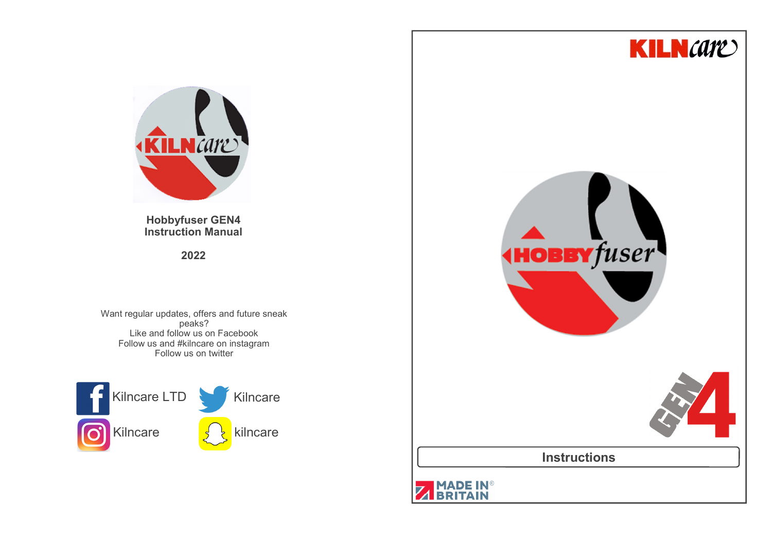



**Hobbyfuser GEN4Instruction Manual**

**2022**

Want regular updates, offers and future sneak peaks? Like and follow us on Facebook Follow us and #kilncare on instagramFollow us on twitter

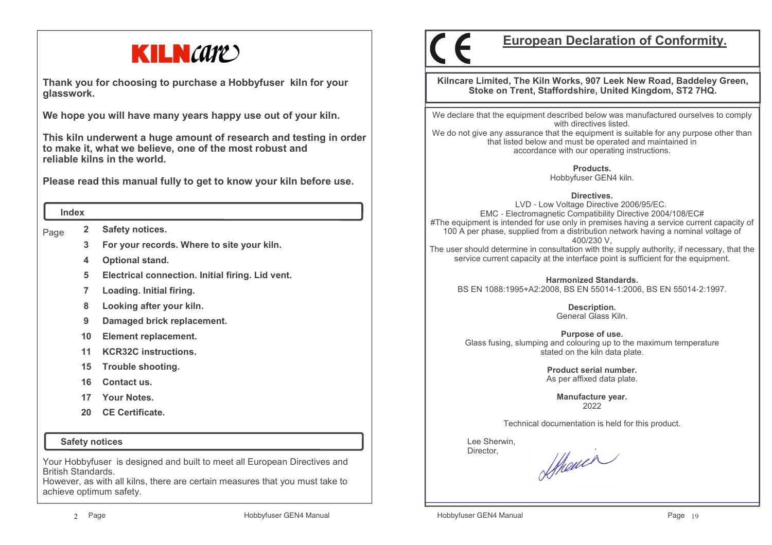

**Thank you for choosing to purchase a Hobbyfuser kiln for your glasswork.**

**We hope you will have many years happy use out of your kiln.** 

**This kiln underwent a huge amount of research and testing in order to make it, what we believe, one of the most robust and reliable kilns in the world.**

**Please read this manual fully to get to know your kiln before use.**

#### **Index**

Page **2Safety notices.**

- **3For your records. Where to site your kiln.**
- **4Optional stand.**
- **5Electrical connection. Initial firing. Lid vent.**
- **7Loading. Initial firing.**
- **8Looking after your kiln.**
- **9Damaged brick replacement.**
- **10Element replacement.**
- **11KCR32C instructions.**
- **15Trouble shooting.**
- **16Contact us.**
- **17 Your Notes.**
- **20 CE Certificate.**

 **Safety notices**

Your Hobbyfuser is designed and built to meet all European Directives and British Standards.

 However, as with all kilns, there are certain measures that you must take to achieve optimum safety.

# **European Declaration of Conformity.**

**Kilncare Limited, The Kiln Works, 907 Leek New Road, Baddeley Green, Stoke on Trent, Staffordshire, United Kingdom, ST2 7HQ.**

We declare that the equipment described below was manufactured ourselves to comply with directives listed.

 We do not give any assurance that the equipment is suitable for any purpose other than that listed below and must be operated and maintained in accordance with our operating instructions.

> **Products.**Hobbyfuser GEN4 kiln.

> > **Directives.**

 LVD - Low Voltage Directive 2006/95/EC. EMC - Electromagnetic Compatibility Directive 2004/108/EC# #The equipment is intended for use only in premises having a service current capacity of 100 A per phase, supplied from a distribution network having a nominal voltage of 400/230 V,

 The user should determine in consultation with the supply authority, if necessary, that the service current capacity at the interface point is sufficient for the equipment.

**Harmonized Standards.**BS EN 1088:1995+A2:2008, BS EN 55014-1:2006, BS EN 55014-2:1997.

> **Description.** General Glass Kiln.

**Purpose of use.** Glass fusing, slumping and colouring up to the maximum temperature stated on the kiln data plate.

> **Product serial number.**As per affixed data plate.

> > **Manufacture year.**2022

Technical documentation is held for this product.

 Lee Sherwin,Director,

Sthewer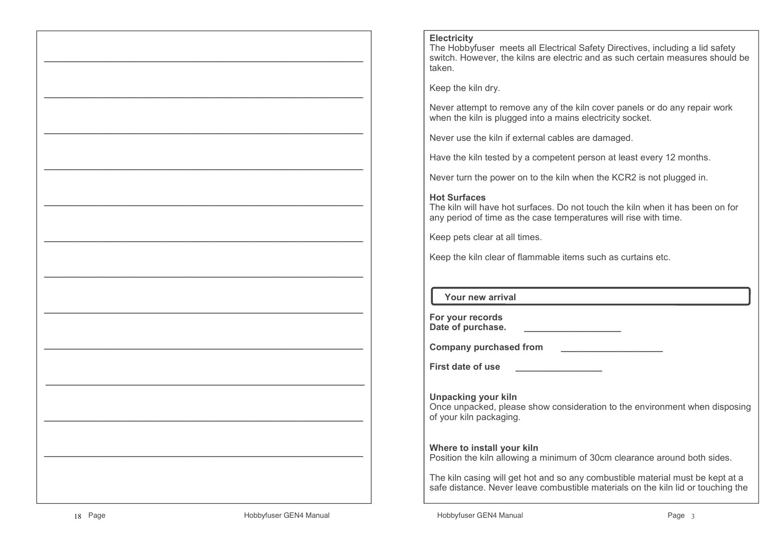#### **Electricity**

 The Hobbyfuser meets all Electrical Safety Directives, including a lid safety switch. However, the kilns are electric and as such certain measures should be taken.

Keep the kiln dry.

Never attempt to remove any of the kiln cover panels or do any repair work when the kiln is plugged into a mains electricity socket.

Never use the kiln if external cables are damaged.

Have the kiln tested by a competent person at least every 12 months.

Never turn the power on to the kiln when the KCR2 is not plugged in.

# **Hot Surfaces**

 The kiln will have hot surfaces. Do not touch the kiln when it has been on for any period of time as the case temperatures will rise with time.

Keep pets clear at all times.

Keep the kiln clear of flammable items such as curtains etc.

# **Your new arrival**

| For your records  |  |
|-------------------|--|
| Date of purchase. |  |

**Company purchased from \_\_\_\_\_\_\_\_\_\_\_\_\_\_\_\_\_\_\_\_**

**First date of use \_\_\_\_\_\_\_\_\_\_\_\_\_\_\_\_\_**

**Unpacking your kiln** Once unpacked, please show consideration to the environment when disposing of your kiln packaging.

#### **Where to install your kiln**

Position the kiln allowing a minimum of 30cm clearance around both sides.

The kiln casing will get hot and so any combustible material must be kept at a safe distance. Never leave combustible materials on the kiln lid or touching the

 $\mathcal{L}=\{x_1,\ldots,x_n\}$  , we can assume that  $\mathcal{L}=\{x_1,\ldots,x_n\}$  , we can assume that

—————————————————————————————

 $\mathcal{L}=\{x_1,\ldots,x_n\}$  , we can assume that  $\mathcal{L}=\{x_1,\ldots,x_n\}$  , we can assume that

—————————————————————————————

 $\mathcal{L}=\{x_1,\ldots,x_n\}$  , we can assume that  $\mathcal{L}=\{x_1,\ldots,x_n\}$  , we can assume that

—————————————————————————————

 $\mathcal{L}=\{x_1,\ldots,x_n\}$  , we can assume that  $\mathcal{L}=\{x_1,\ldots,x_n\}$  , we can assume that

—————————————————————————————

 $\mathcal{L}=\{x_1,\ldots,x_n\}$  , we can assume that  $\mathcal{L}=\{x_1,\ldots,x_n\}$  , we can assume that

—————————————————————————————

 $\mathcal{L}=\{x_1,\ldots,x_n\}$  , we can assume that  $\mathcal{L}=\{x_1,\ldots,x_n\}$  , we can assume that

—————————————————————————————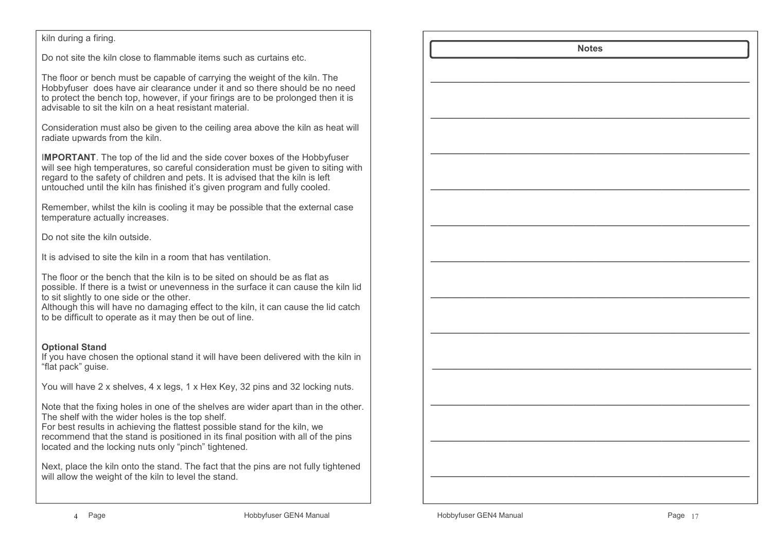# kiln during a firing.

Do not site the kiln close to flammable items such as curtains etc.

The floor or bench must be capable of carrying the weight of the kiln. The Hobbyfuser does have air clearance under it and so there should be no need to protect the bench top, however, if your firings are to be prolonged then it is advisable to sit the kiln on a heat resistant material.

Consideration must also be given to the ceiling area above the kiln as heat will radiate upwards from the kiln.

I**MPORTANT**. The top of the lid and the side cover boxes of the Hobbyfuser will see high temperatures, so careful consideration must be given to siting with regard to the safety of children and pets. It is advised that the kiln is left untouched until the kiln has finished it's given program and fully cooled.

Remember, whilst the kiln is cooling it may be possible that the external case temperature actually increases.

Do not site the kiln outside.

It is advised to site the kiln in a room that has ventilation.

The floor or the bench that the kiln is to be sited on should be as flat as possible. If there is a twist or unevenness in the surface it can cause the kiln lid to sit slightly to one side or the other.

 Although this will have no damaging effect to the kiln, it can cause the lid catch to be difficult to operate as it may then be out of line.

#### **Optional Stand**

 If you have chosen the optional stand it will have been delivered with the kiln in "flat pack" guise.

You will have 2 x shelves, 4 x legs, 1 x Hex Key, 32 pins and 32 locking nuts.

Note that the fixing holes in one of the shelves are wider apart than in the other. The shelf with the wider holes is the top shelf.

 For best results in achieving the flattest possible stand for the kiln, we recommend that the stand is positioned in its final position with all of the pins located and the locking nuts only "pinch" tightened.

Next, place the kiln onto the stand. The fact that the pins are not fully tightened will allow the weight of the kiln to level the stand.

|  | <b>Notes</b> |  |  |
|--|--------------|--|--|
|  |              |  |  |
|  |              |  |  |
|  |              |  |  |
|  |              |  |  |
|  |              |  |  |
|  |              |  |  |
|  |              |  |  |
|  |              |  |  |
|  |              |  |  |
|  |              |  |  |
|  |              |  |  |
|  |              |  |  |
|  |              |  |  |
|  |              |  |  |
|  |              |  |  |
|  |              |  |  |
|  |              |  |  |
|  |              |  |  |
|  |              |  |  |
|  |              |  |  |
|  |              |  |  |
|  |              |  |  |
|  |              |  |  |
|  |              |  |  |
|  |              |  |  |
|  |              |  |  |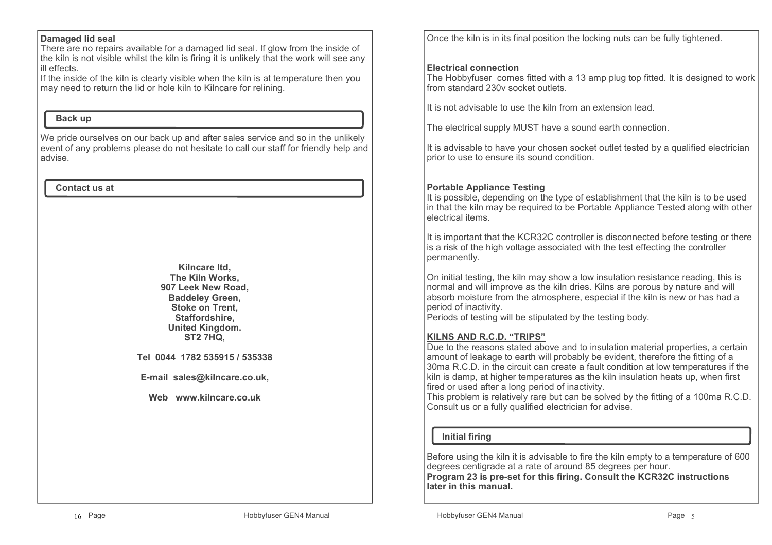#### **Damaged lid seal**

 There are no repairs available for a damaged lid seal. If glow from the inside of the kiln is not visible whilst the kiln is firing it is unlikely that the work will see any ill effects.

 If the inside of the kiln is clearly visible when the kiln is at temperature then you may need to return the lid or hole kiln to Kilncare for relining.

## **Back up**

We pride ourselves on our back up and after sales service and so in the unlikely event of any problems please do not hesitate to call our staff for friendly help and advise.

#### **Contact us at**

**Kilncare ltd, The Kiln Works, 907 Leek New Road, Baddeley Green, Stoke on Trent, Staffordshire, United Kingdom.ST2 7HQ,**

**Tel 0044 1782 535915 / 535338**

**E-mail sales@kilncare.co.uk,** 

**Web www.kilncare.co.uk**

Once the kiln is in its final position the locking nuts can be fully tightened.

#### **Electrical connection**

 The Hobbyfuser comes fitted with a 13 amp plug top fitted. It is designed to work from standard 230v socket outlets.

It is not advisable to use the kiln from an extension lead.

The electrical supply MUST have a sound earth connection.

It is advisable to have your chosen socket outlet tested by a qualified electrician prior to use to ensure its sound condition.

## **Portable Appliance Testing**

 It is possible, depending on the type of establishment that the kiln is to be used in that the kiln may be required to be Portable Appliance Tested along with other electrical items.

It is important that the KCR32C controller is disconnected before testing or there is a risk of the high voltage associated with the test effecting the controller permanently.

On initial testing, the kiln may show a low insulation resistance reading, this is normal and will improve as the kiln dries. Kilns are porous by nature and will absorb moisture from the atmosphere, especial if the kiln is new or has had a period of inactivity.

Periods of testing will be stipulated by the testing body.

# **KILNS AND R.C.D. "TRIPS"**

 Due to the reasons stated above and to insulation material properties, a certain amount of leakage to earth will probably be evident, therefore the fitting of a 30ma R.C.D. in the circuit can create a fault condition at low temperatures if the kiln is damp, at higher temperatures as the kiln insulation heats up, when first fired or used after a long period of inactivity.

 This problem is relatively rare but can be solved by the fitting of a 100ma R.C.D.Consult us or a fully qualified electrician for advise.

# **Initial firing**

Before using the kiln it is advisable to fire the kiln empty to a temperature of 600 degrees centigrade at a rate of around 85 degrees per hour.

 **Program 23 is pre-set for this firing. Consult the KCR32C instructions later in this manual.**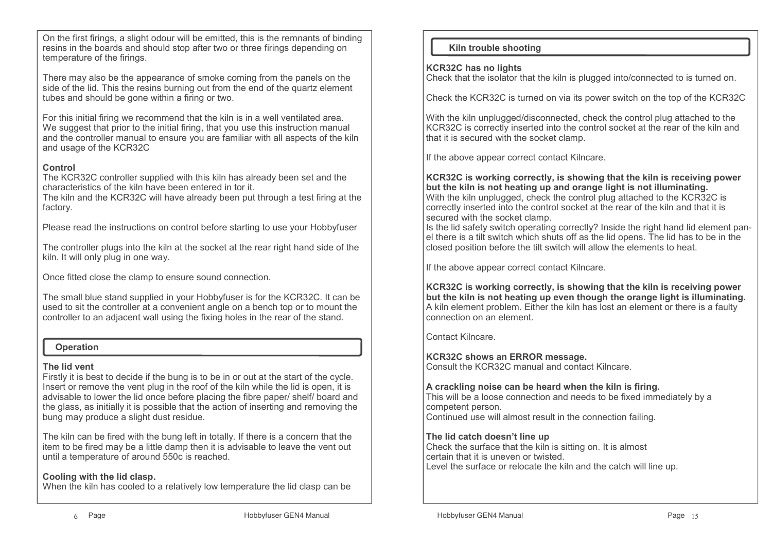On the first firings, a slight odour will be emitted, this is the remnants of binding resins in the boards and should stop after two or three firings depending on temperature of the firings.

There may also be the appearance of smoke coming from the panels on the side of the lid. This the resins burning out from the end of the quartz element tubes and should be gone within a firing or two.

For this initial firing we recommend that the kiln is in a well ventilated area. We suggest that prior to the initial firing, that you use this instruction manual and the controller manual to ensure you are familiar with all aspects of the kiln and usage of the KCR32C

# **Control**

 The KCR32C controller supplied with this kiln has already been set and the characteristics of the kiln have been entered in tor it.

 The kiln and the KCR32C will have already been put through a test firing at the factory.

Please read the instructions on control before starting to use your Hobbyfuser

The controller plugs into the kiln at the socket at the rear right hand side of the kiln. It will only plug in one way.

Once fitted close the clamp to ensure sound connection.

The small blue stand supplied in your Hobbyfuser is for the KCR32C. It can be used to sit the controller at a convenient angle on a bench top or to mount the controller to an adjacent wall using the fixing holes in the rear of the stand.

#### **Operation**

#### **The lid vent**

 Firstly it is best to decide if the bung is to be in or out at the start of the cycle. Insert or remove the vent plug in the roof of the kiln while the lid is open, it is advisable to lower the lid once before placing the fibre paper/ shelf/ board and the glass, as initially it is possible that the action of inserting and removing the bung may produce a slight dust residue.

The kiln can be fired with the bung left in totally. If there is a concern that the item to be fired may be a little damp then it is advisable to leave the vent out until a temperature of around 550c is reached.

# **Cooling with the lid clasp.**

When the kiln has cooled to a relatively low temperature the lid clasp can be

# **Kiln trouble shooting**

#### **KCR32C has no lights**

Check that the isolator that the kiln is plugged into/connected to is turned on.

Check the KCR32C is turned on via its power switch on the top of the KCR32C

With the kiln unplugged/disconnected, check the control plug attached to the KCR32C is correctly inserted into the control socket at the rear of the kiln and that it is secured with the socket clamp.

If the above appear correct contact Kilncare.

**KCR32C is working correctly, is showing that the kiln is receiving power but the kiln is not heating up and orange light is not illuminating.** With the kiln unplugged, check the control plug attached to the KCR32C is correctly inserted into the control socket at the rear of the kiln and that it is secured with the socket clamp.

 Is the lid safety switch operating correctly? Inside the right hand lid element panel there is a tilt switch which shuts off as the lid opens. The lid has to be in the closed position before the tilt switch will allow the elements to heat.

If the above appear correct contact Kilncare.

**KCR32C is working correctly, is showing that the kiln is receiving power but the kiln is not heating up even though the orange light is illuminating.**A kiln element problem. Either the kiln has lost an element or there is a faulty connection on an element.

Contact Kilncare.

**KCR32C shows an ERROR message.**Consult the KCR32C manual and contact Kilncare.

#### **A crackling noise can be heard when the kiln is firing.**

 This will be a loose connection and needs to be fixed immediately by a competent person.Continued use will almost result in the connection failing.

#### **The lid catch doesn't line up**

 Check the surface that the kiln is sitting on. It is almost certain that it is uneven or twisted.Level the surface or relocate the kiln and the catch will line up.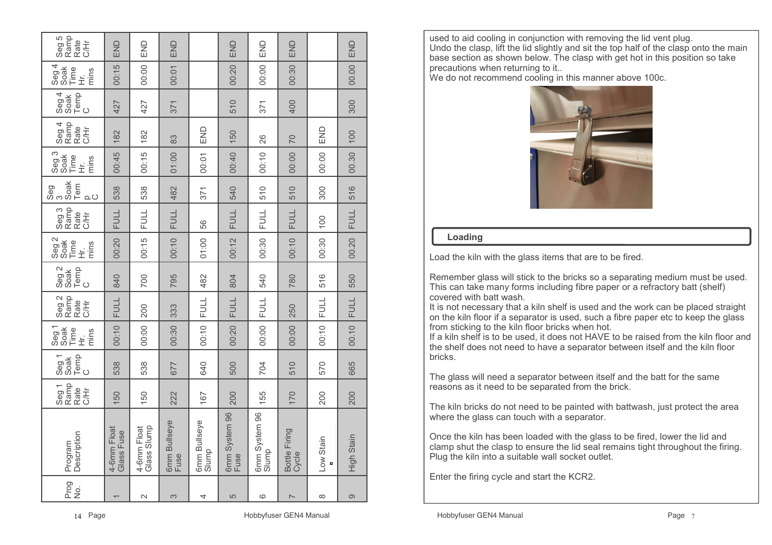| Prog<br>,<br>2    | Description<br>Program      | Seg 1<br>Ramp<br>Rate<br>吉 | Temp<br>C<br>Seg 1<br>Soak | Seg 1<br>Soak<br>Time<br>mins<br>$\dot{\bar{\pm}}$ | Seg 2<br>Rate<br>C/Hr | Seg 2<br>Soak<br>Temp<br>C | Seg 2<br>Soak<br>Time<br>mins<br>$\dot{\pm}$ | Seg 3<br>Rate<br>C/Hr | Seg<br>3<br>Soak<br>Tem<br>$\Omega$ | Seg 3<br>Soak<br>Time<br>mins<br>三 | Seg 4<br>Ramp<br>Rate<br>C/Hr | Temp<br>C<br>$\frac{3eg4}{30ak}$ | Seg 4<br>Soak<br>Time<br>mins<br>ビ<br>上 | Seg 5<br>Ramp<br>Rate<br>吉 |
|-------------------|-----------------------------|----------------------------|----------------------------|----------------------------------------------------|-----------------------|----------------------------|----------------------------------------------|-----------------------|-------------------------------------|------------------------------------|-------------------------------|----------------------------------|-----------------------------------------|----------------------------|
|                   | 4-6mm Float<br>Glass Fuse   | 150                        | 538                        | 00:10                                              | <b>FULL</b>           | 840                        | 00:20                                        | <b>FULL</b>           | 538                                 | 00:45                              | 182                           | 427                              | 00:15                                   | END                        |
| $\mathbf{\Omega}$ | 4-6mm Float<br>Glass Slump  | 150                        | 538                        | 00:00                                              | 200                   | 700                        | 00:15                                        | <b>FULL</b>           | 538                                 | 00:15                              | 182                           | 427                              | 00:00                                   | END                        |
| 3                 | 6mm Bullseye<br>Fuse        | 222                        | 677                        | 00:30                                              | 333                   | 795                        | 00:10                                        | <b>FULL</b>           | 482                                 | 01:00                              | 83                            | 371                              | 00:01                                   | END                        |
| 4                 | 6mm Bullseye<br>Slump       | 167                        | 640                        | 00:10                                              | <b>FULL</b>           | 482                        | 01:00                                        | 56                    | 371                                 | 00:01                              | END                           |                                  |                                         |                            |
| 5                 | 6mm System 96<br>Fuse       | 200                        | 500                        | 00:20                                              | <b>FULL</b>           | 804                        | 00:12                                        | <b>FULL</b>           | 540                                 | 00:40                              | 150                           | 510                              | 00:20                                   | END                        |
| ဖ                 | 6mm System 96<br>Slump      | 155                        | 704                        | 00:00                                              | <b>FULL</b>           | 540                        | 00:30                                        | <b>FULL</b>           | 510                                 | 00:10                              | 26                            | 371                              | 00:00                                   | END                        |
| $\overline{ }$    | Bottle Firing<br>Cycle      | 170                        | 510                        | 00:00                                              | 250                   | 780                        | 00:10                                        | <b>FULL</b>           | 510                                 | 00:00                              | <b>DZ</b>                     | 400                              | 00:30                                   | END                        |
| $\infty$          | Low Stain<br>$\blacksquare$ | 200                        | 570                        | 00:10                                              | FULL                  | 516                        | 00:30                                        | 100                   | 300                                 | 00:00                              | END                           |                                  |                                         |                            |
| တ                 | High Stain                  | 200                        | 665                        | 00.10                                              | <b>FULL</b>           | 550                        | 00.20                                        | <b>FULL</b>           | 516                                 | 00.30                              | 100                           | 300                              | 00.00                                   | END                        |

used to aid cooling in conjunction with removing the lid vent plug. Undo the clasp, lift the lid slightly and sit the top half of the clasp onto the main base section as shown below. The clasp with get hot in this position so take precautions when returning to it..

We do not recommend cooling in this manner above 100c.



# **Loading**

Load the kiln with the glass items that are to be fired.

Remember glass will stick to the bricks so a separating medium must be used. This can take many forms including fibre paper or a refractory batt (shelf) covered with batt wash.

 It is not necessary that a kiln shelf is used and the work can be placed straight on the kiln floor if a separator is used, such a fibre paper etc to keep the glass from sticking to the kiln floor bricks when hot.

 If a kiln shelf is to be used, it does not HAVE to be raised from the kiln floor and the shelf does not need to have a separator between itself and the kiln floor bricks.

The glass will need a separator between itself and the batt for the same reasons as it need to be separated from the brick.

The kiln bricks do not need to be painted with battwash, just protect the area where the glass can touch with a separator.

Once the kiln has been loaded with the glass to be fired, lower the lid and clamp shut the clasp to ensure the lid seal remains tight throughout the firing. Plug the kiln into a suitable wall socket outlet.

Enter the firing cycle and start the KCR2.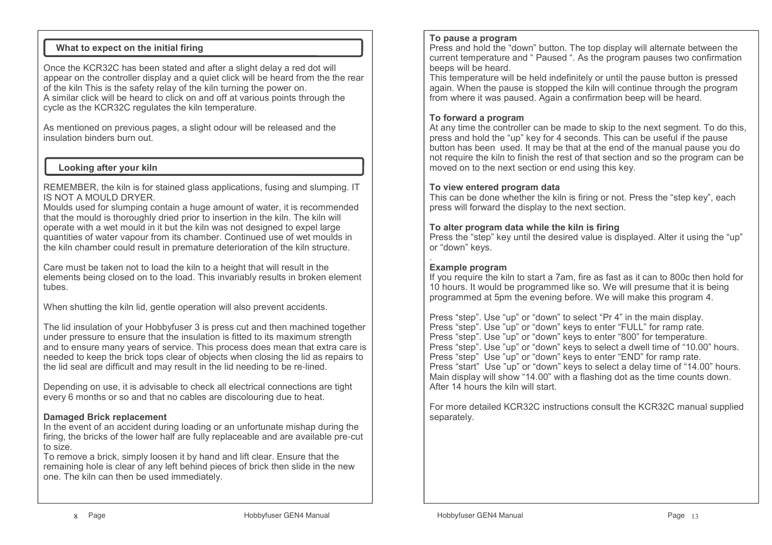# **What to expect on the initial firing**

Once the KCR32C has been stated and after a slight delay a red dot will appear on the controller display and a quiet click will be heard from the the rear of the kiln This is the safety relay of the kiln turning the power on. A similar click will be heard to click on and off at various points through the cycle as the KCR32C regulates the kiln temperature.

As mentioned on previous pages, a slight odour will be released and the insulation binders burn out.

# **Looking after your kiln**

REMEMBER, the kiln is for stained glass applications, fusing and slumping. IT IS NOT A MOULD DRYER.

 Moulds used for slumping contain a huge amount of water, it is recommended that the mould is thoroughly dried prior to insertion in the kiln. The kiln will operate with a wet mould in it but the kiln was not designed to expel large quantities of water vapour from its chamber. Continued use of wet moulds in the kiln chamber could result in premature deterioration of the kiln structure.

Care must be taken not to load the kiln to a height that will result in the elements being closed on to the load. This invariably results in broken element tubes.

When shutting the kiln lid, gentle operation will also prevent accidents.

The lid insulation of your Hobbyfuser 3 is press cut and then machined together under pressure to ensure that the insulation is fitted to its maximum strength and to ensure many years of service. This process does mean that extra care is needed to keep the brick tops clear of objects when closing the lid as repairs to the lid seal are difficult and may result in the lid needing to be re-lined.

Depending on use, it is advisable to check all electrical connections are tight every 6 months or so and that no cables are discolouring due to heat.

# **Damaged Brick replacement**

 In the event of an accident during loading or an unfortunate mishap during the firing, the bricks of the lower half are fully replaceable and are available pre-cut to size.

 To remove a brick, simply loosen it by hand and lift clear. Ensure that the remaining hole is clear of any left behind pieces of brick then slide in the new one. The kiln can then be used immediately.

#### **To pause a program**

 Press and hold the "down" button. The top display will alternate between the current temperature and " Paused ". As the program pauses two confirmation beeps will be heard.

 This temperature will be held indefinitely or until the pause button is pressed again. When the pause is stopped the kiln will continue through the program from where it was paused. Again a confirmation beep will be heard.

# **To forward a program**

 At any time the controller can be made to skip to the next segment. To do this, press and hold the "up" key for 4 seconds. This can be useful if the pause button has been used. It may be that at the end of the manual pause you do not require the kiln to finish the rest of that section and so the program can be moved on to the next section or end using this key.

#### **To view entered program data**

 This can be done whether the kiln is firing or not. Press the "step key", each press will forward the display to the next section.

#### **To alter program data while the kiln is firing**

 Press the "step" key until the desired value is displayed. Alter it using the "up" or "down" keys.

# **Example program**

 If you require the kiln to start a 7am, fire as fast as it can to 800c then hold for 10 hours. It would be programmed like so. We will presume that it is being programmed at 5pm the evening before. We will make this program 4.

Press "step". Use "up" or "down" to select "Pr 4" in the main display. Press "step". Use "up" or "down" keys to enter "FULL" for ramp rate. Press "step". Use "up" or "down" keys to enter "800" for temperature. Press "step". Use "up" or "down" keys to select a dwell time of "10.00" hours. Press "step" Use "up" or "down" keys to enter "END" for ramp rate. Press "start" Use "up" or "down" keys to select a delay time of "14.00" hours.Main display will show "14.00" with a flashing dot as the time counts down. After 14 hours the kiln will start.

For more detailed KCR32C instructions consult the KCR32C manual supplied separately.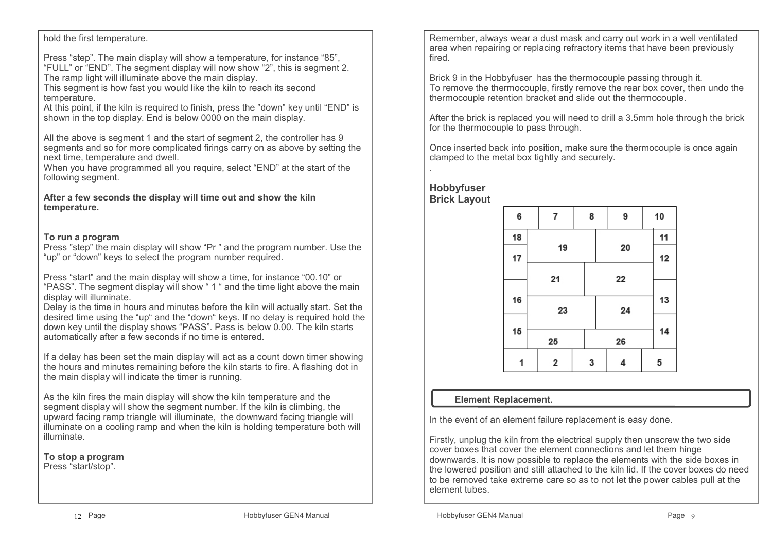#### hold the first temperature.

Press "step". The main display will show a temperature, for instance "85", "FULL" or "END". The segment display will now show "2", this is segment 2. The ramp light will illuminate above the main display.

 This segment is how fast you would like the kiln to reach its second temperature.

 At this point, if the kiln is required to finish, press the "down" key until "END" is shown in the top display. End is below 0000 on the main display.

All the above is segment 1 and the start of segment 2, the controller has 9 segments and so for more complicated firings carry on as above by setting the next time, temperature and dwell.

 When you have programmed all you require, select "END" at the start of the following segment.

**After a few seconds the display will time out and show the kiln temperature.**

## **To run a program**

 Press "step" the main display will show "Pr " and the program number. Use the "up" or "down" keys to select the program number required.

Press "start" and the main display will show a time, for instance "00.10" or "PASS". The segment display will show " 1 " and the time light above the main display will illuminate.

 Delay is the time in hours and minutes before the kiln will actually start. Set the desired time using the "up" and the "down" keys. If no delay is required hold the down key until the display shows "PASS". Pass is below 0.00. The kiln starts automatically after a few seconds if no time is entered.

If a delay has been set the main display will act as a count down timer showing the hours and minutes remaining before the kiln starts to fire. A flashing dot in the main display will indicate the timer is running.

As the kiln fires the main display will show the kiln temperature and the segment display will show the segment number. If the kiln is climbing, the upward facing ramp triangle will illuminate, the downward facing triangle will illuminate on a cooling ramp and when the kiln is holding temperature both will illuminate.

**To stop a program**Press "start/stop".

Remember, always wear a dust mask and carry out work in a well ventilated area when repairing or replacing refractory items that have been previously fired.

Brick 9 in the Hobbyfuser has the thermocouple passing through it. To remove the thermocouple, firstly remove the rear box cover, then undo the thermocouple retention bracket and slide out the thermocouple.

After the brick is replaced you will need to drill a 3.5mm hole through the brick for the thermocouple to pass through.

Once inserted back into position, make sure the thermocouple is once again clamped to the metal box tightly and securely.

**Hobbyfuser Brick Layout**



# **Element Replacement.**

In the event of an element failure replacement is easy done.

Firstly, unplug the kiln from the electrical supply then unscrew the two side cover boxes that cover the element connections and let them hinge downwards. It is now possible to replace the elements with the side boxes in the lowered position and still attached to the kiln lid. If the cover boxes do need to be removed take extreme care so as to not let the power cables pull at the element tubes.